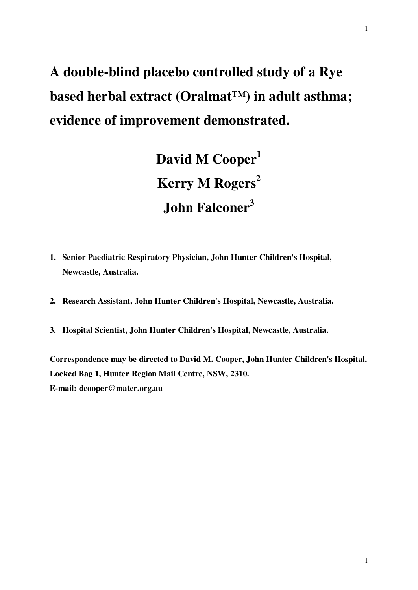# **A double-blind placebo controlled study of a Rye based herbal extract (Oralmat™) in adult asthma; evidence of improvement demonstrated.**

**David M Cooper<sup>1</sup> Kerry M Rogers<sup>2</sup> John Falconer<sup>3</sup>**

- **1. Senior Paediatric Respiratory Physician, John Hunter Children's Hospital, Newcastle, Australia.**
- **2. Research Assistant, John Hunter Children's Hospital, Newcastle, Australia.**
- **3. Hospital Scientist, John Hunter Children's Hospital, Newcastle, Australia.**

**Correspondence may be directed to David M. Cooper, John Hunter Children's Hospital, Locked Bag 1, Hunter Region Mail Centre, NSW, 2310. E-mail: [dcooper@mater.org.au](mailto:dcooper@mater.org.au)**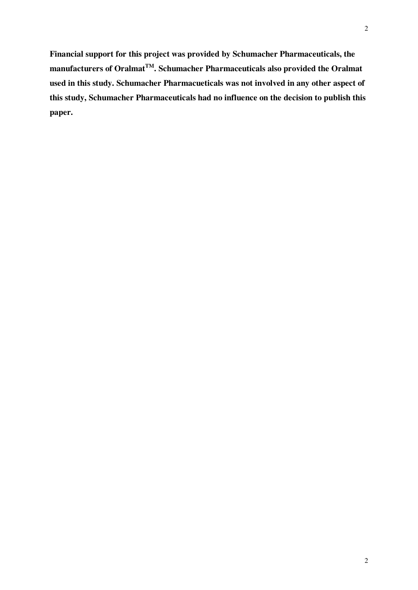**Financial support for this project was provided by Schumacher Pharmaceuticals, the** 

**manufacturers of OralmatTM. Schumacher Pharmaceuticals also provided the Oralmat used in this study. Schumacher Pharmacueticals was not involved in any other aspect of this study, Schumacher Pharmaceuticals had no influence on the decision to publish this paper.**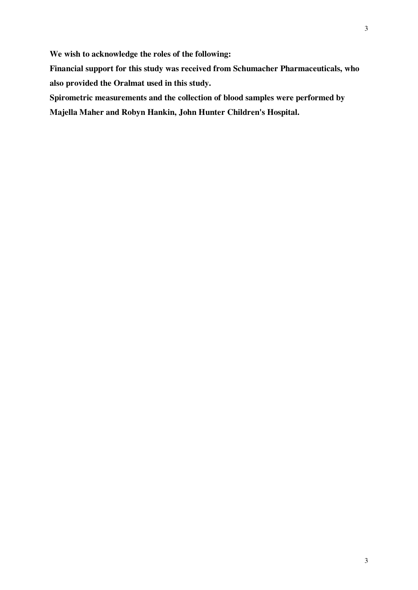**We wish to acknowledge the roles of the following:** 

**Financial support for this study was received from Schumacher Pharmaceuticals, who also provided the Oralmat used in this study.** 

**Spirometric measurements and the collection of blood samples were performed by** 

**Majella Maher and Robyn Hankin, John Hunter Children's Hospital.**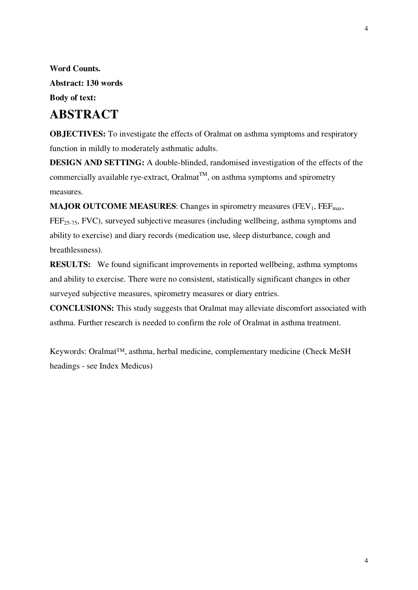**Word Counts. Abstract: 130 words Body of text:** 

## **ABSTRACT**

**OBJECTIVES:** To investigate the effects of Oralmat on asthma symptoms and respiratory function in mildly to moderately asthmatic adults.

**DESIGN AND SETTING:** A double-blinded, randomised investigation of the effects of the commercially available rye-extract, Oralmat<sup>TM</sup>, on asthma symptoms and spirometry measures.

**MAJOR OUTCOME MEASURES:** Changes in spirometry measures ( $FEV_1$ ,  $FEF_{max}$ , FEF<sub>25-75</sub>, FVC), surveyed subjective measures (including wellbeing, asthma symptoms and ability to exercise) and diary records (medication use, sleep disturbance, cough and breathlessness).

**RESULTS:** We found significant improvements in reported wellbeing, asthma symptoms and ability to exercise. There were no consistent, statistically significant changes in other surveyed subjective measures, spirometry measures or diary entries.

**CONCLUSIONS:** This study suggests that Oralmat may alleviate discomfort associated with asthma. Further research is needed to confirm the role of Oralmat in asthma treatment.

Keywords: Oralmat™, asthma, herbal medicine, complementary medicine (Check MeSH headings - see Index Medicus)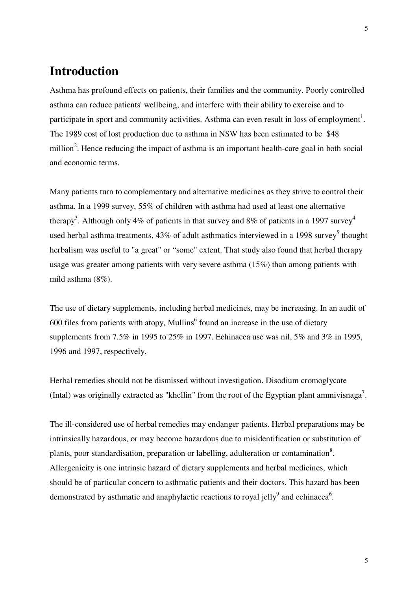### **Introduction**

Asthma has profound effects on patients, their families and the community. Poorly controlled asthma can reduce patients' wellbeing, and interfere with their ability to exercise and to participate in sport and community activities. Asthma can even result in loss of employment<sup>1</sup>. The 1989 cost of lost production due to asthma in NSW has been estimated to be \$48 million<sup>2</sup>. Hence reducing the impact of asthma is an important health-care goal in both social and economic terms.

Many patients turn to complementary and alternative medicines as they strive to control their asthma. In a 1999 survey, 55% of children with asthma had used at least one alternative therapy<sup>3</sup>. Although only 4% of patients in that survey and 8% of patients in a 1997 survey<sup>4</sup> used herbal asthma treatments,  $43\%$  of adult asthmatics interviewed in a 1998 survey<sup>5</sup> thought herbalism was useful to "a great" or "some" extent. That study also found that herbal therapy usage was greater among patients with very severe asthma (15%) than among patients with mild asthma (8%).

The use of dietary supplements, including herbal medicines, may be increasing. In an audit of  $600$  files from patients with atopy, Mullins<sup>6</sup> found an increase in the use of dietary supplements from 7.5% in 1995 to 25% in 1997. Echinacea use was nil, 5% and 3% in 1995, 1996 and 1997, respectively.

Herbal remedies should not be dismissed without investigation. Disodium cromoglycate (Intal) was originally extracted as "khellin" from the root of the Egyptian plant ammivisnaga<sup>7</sup>.

The ill-considered use of herbal remedies may endanger patients. Herbal preparations may be intrinsically hazardous, or may become hazardous due to misidentification or substitution of plants, poor standardisation, preparation or labelling, adulteration or contamination<sup>8</sup>. Allergenicity is one intrinsic hazard of dietary supplements and herbal medicines, which should be of particular concern to asthmatic patients and their doctors. This hazard has been demonstrated by asthmatic and anaphylactic reactions to royal jelly<sup>9</sup> and echinacea<sup>6</sup>.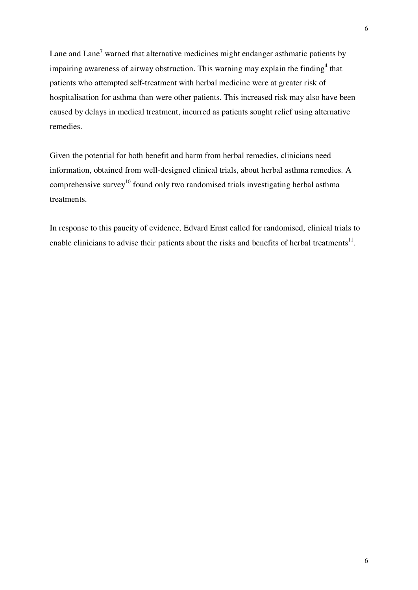Lane and Lane<sup>7</sup> warned that alternative medicines might endanger asthmatic patients by impairing awareness of airway obstruction. This warning may explain the finding<sup>4</sup> that patients who attempted self-treatment with herbal medicine were at greater risk of hospitalisation for asthma than were other patients. This increased risk may also have been caused by delays in medical treatment, incurred as patients sought relief using alternative remedies.

Given the potential for both benefit and harm from herbal remedies, clinicians need information, obtained from well-designed clinical trials, about herbal asthma remedies. A comprehensive survey<sup>10</sup> found only two randomised trials investigating herbal asthma treatments.

In response to this paucity of evidence, Edvard Ernst called for randomised, clinical trials to enable clinicians to advise their patients about the risks and benefits of herbal treatments<sup>11</sup>.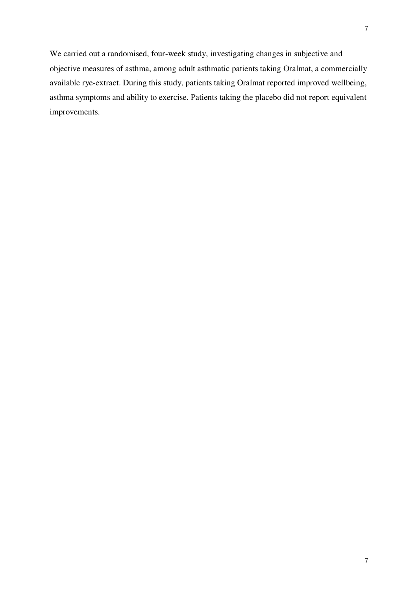We carried out a randomised, four-week study, investigating changes in subjective and objective measures of asthma, among adult asthmatic patients taking Oralmat, a commercially available rye-extract. During this study, patients taking Oralmat reported improved wellbeing, asthma symptoms and ability to exercise. Patients taking the placebo did not report equivalent improvements.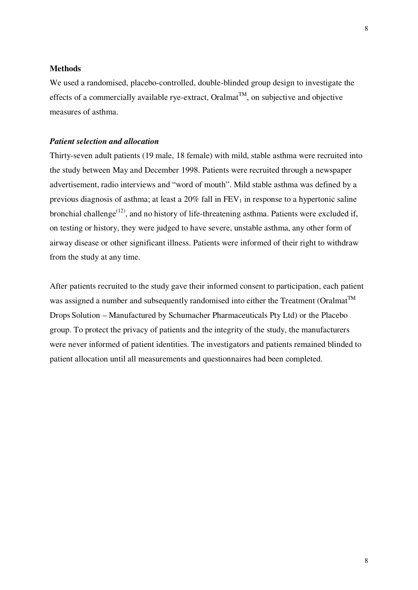#### **Methods**

We used a randomised, placebo-controlled, double-blinded group design to investigate the effects of a commercially available rye-extract, Oralmat<sup>TM</sup>, on subjective and objective measures of asthma.

#### *Patient selection and allocation*

Thirty-seven adult patients (19 male, 18 female) with mild, stable asthma were recruited into the study between May and December 1998. Patients were recruited through a newspaper advertisement, radio interviews and "word of mouth". Mild stable asthma was defined by a previous diagnosis of asthma; at least a  $20\%$  fall in  $FEV<sub>1</sub>$  in response to a hypertonic saline bronchial challenge<sup>(12)</sup>, and no history of life-threatening asthma. Patients were excluded if, on testing or history, they were judged to have severe, unstable asthma, any other form of airway disease or other significant illness. Patients were informed of their right to withdraw from the study at any time.

After patients recruited to the study gave their informed consent to participation, each patient was assigned a number and subsequently randomised into either the Treatment (Oralmat<sup>TM</sup> Drops Solution – Manufactured by Schumacher Pharmaceuticals Pty Ltd) or the Placebo group. To protect the privacy of patients and the integrity of the study, the manufacturers were never informed of patient identities. The investigators and patients remained blinded to patient allocation until all measurements and questionnaires had been completed.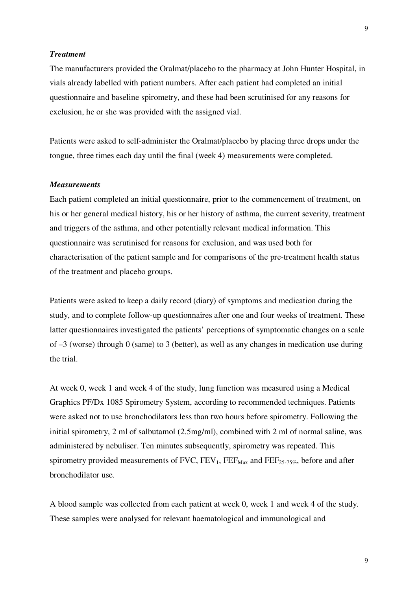#### *Treatment*

The manufacturers provided the Oralmat/placebo to the pharmacy at John Hunter Hospital, in vials already labelled with patient numbers. After each patient had completed an initial questionnaire and baseline spirometry, and these had been scrutinised for any reasons for exclusion, he or she was provided with the assigned vial.

Patients were asked to self-administer the Oralmat/placebo by placing three drops under the tongue, three times each day until the final (week 4) measurements were completed.

#### *Measurements*

Each patient completed an initial questionnaire, prior to the commencement of treatment, on his or her general medical history, his or her history of asthma, the current severity, treatment and triggers of the asthma, and other potentially relevant medical information. This questionnaire was scrutinised for reasons for exclusion, and was used both for characterisation of the patient sample and for comparisons of the pre-treatment health status of the treatment and placebo groups.

Patients were asked to keep a daily record (diary) of symptoms and medication during the study, and to complete follow-up questionnaires after one and four weeks of treatment. These latter questionnaires investigated the patients' perceptions of symptomatic changes on a scale of  $-3$  (worse) through 0 (same) to 3 (better), as well as any changes in medication use during the trial.

At week 0, week 1 and week 4 of the study, lung function was measured using a Medical Graphics PF/Dx 1085 Spirometry System, according to recommended techniques. Patients were asked not to use bronchodilators less than two hours before spirometry. Following the initial spirometry, 2 ml of salbutamol (2.5mg/ml), combined with 2 ml of normal saline, was administered by nebuliser. Ten minutes subsequently, spirometry was repeated. This spirometry provided measurements of  $FVC$ ,  $FEV_1$ ,  $FEF_{Max}$  and  $FEF_{25-75\%}$ , before and after bronchodilator use.

A blood sample was collected from each patient at week 0, week 1 and week 4 of the study. These samples were analysed for relevant haematological and immunological and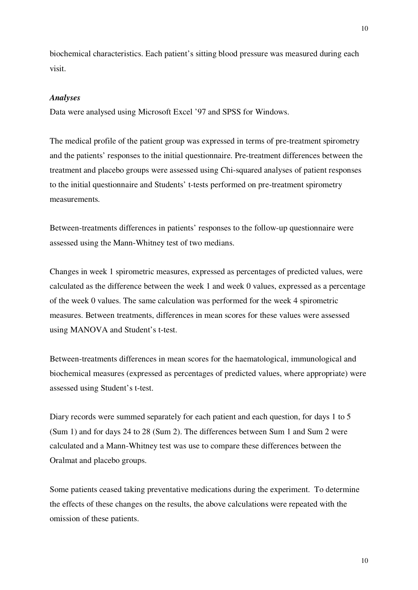biochemical characteristics. Each patient's sitting blood pressure was measured during each visit.

#### *Analyses*

Data were analysed using Microsoft Excel '97 and SPSS for Windows.

The medical profile of the patient group was expressed in terms of pre-treatment spirometry and the patients' responses to the initial questionnaire. Pre-treatment differences between the treatment and placebo groups were assessed using Chi-squared analyses of patient responses to the initial questionnaire and Students' t-tests performed on pre-treatment spirometry measurements.

Between-treatments differences in patients' responses to the follow-up questionnaire were assessed using the Mann-Whitney test of two medians.

Changes in week 1 spirometric measures, expressed as percentages of predicted values, were calculated as the difference between the week 1 and week 0 values, expressed as a percentage of the week 0 values. The same calculation was performed for the week 4 spirometric measures. Between treatments, differences in mean scores for these values were assessed using MANOVA and Student's t-test.

Between-treatments differences in mean scores for the haematological, immunological and biochemical measures (expressed as percentages of predicted values, where appropriate) were assessed using Student's t-test.

Diary records were summed separately for each patient and each question, for days 1 to 5 (Sum 1) and for days 24 to 28 (Sum 2). The differences between Sum 1 and Sum 2 were calculated and a Mann-Whitney test was use to compare these differences between the Oralmat and placebo groups.

Some patients ceased taking preventative medications during the experiment. To determine the effects of these changes on the results, the above calculations were repeated with the omission of these patients.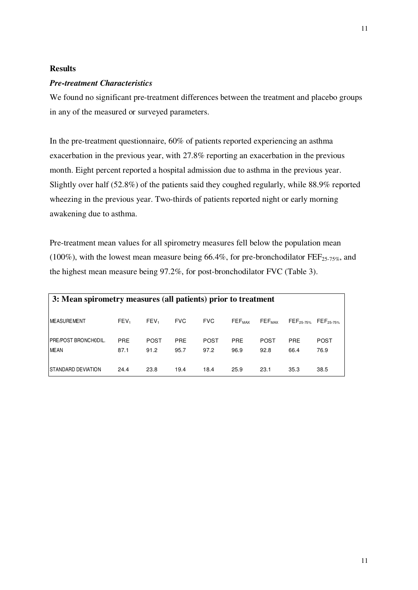#### **Results**

#### *Pre-treatment Characteristics*

We found no significant pre-treatment differences between the treatment and placebo groups in any of the measured or surveyed parameters.

In the pre-treatment questionnaire, 60% of patients reported experiencing an asthma exacerbation in the previous year, with 27.8% reporting an exacerbation in the previous month. Eight percent reported a hospital admission due to asthma in the previous year. Slightly over half (52.8%) of the patients said they coughed regularly, while 88.9% reported wheezing in the previous year. Two-thirds of patients reported night or early morning awakening due to asthma.

Pre-treatment mean values for all spirometry measures fell below the population mean (100%), with the lowest mean measure being 66.4%, for pre-bronchodilator  $\text{FEF}_{25\text{-}75\%}$ , and the highest mean measure being 97.2%, for post-bronchodilator FVC (Table 3).

| 3: Mean spirometry measures (all patients) prior to treatment |                    |                     |                    |                     |                               |                               |                       |                       |  |  |  |  |
|---------------------------------------------------------------|--------------------|---------------------|--------------------|---------------------|-------------------------------|-------------------------------|-----------------------|-----------------------|--|--|--|--|
| <b>IMEASUREMENT</b>                                           | FEV <sub>1</sub>   | FEV <sub>1</sub>    | <b>FVC</b>         | <b>FVC</b>          | $\mathsf{FEF}_{\mathsf{MAX}}$ | $\mathsf{FEF}_{\mathsf{MAX}}$ | FEF <sub>25-75%</sub> | FEF <sub>25-75%</sub> |  |  |  |  |
| <b>IPRE/POST BRONCHODIL.</b><br><b>MEAN</b>                   | <b>PRE</b><br>87.1 | <b>POST</b><br>91.2 | <b>PRE</b><br>95.7 | <b>POST</b><br>97.2 | <b>PRE</b><br>96.9            | <b>POST</b><br>92.8           | <b>PRE</b><br>66.4    | <b>POST</b><br>76.9   |  |  |  |  |
| <b>ISTANDARD DEVIATION</b>                                    | 24.4               | 23.8                | 19.4               | 18.4                | 25.9                          | 23.1                          | 35.3                  | 38.5                  |  |  |  |  |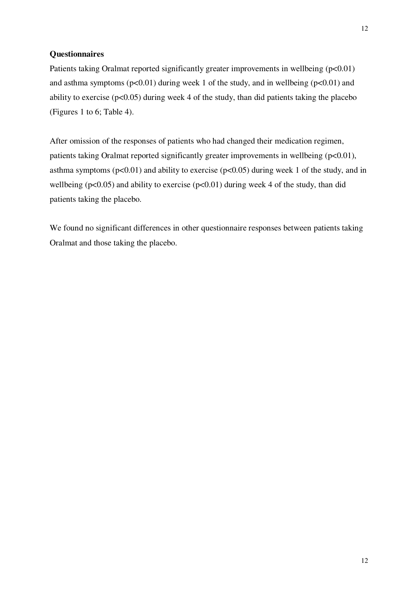#### **Questionnaires**

Patients taking Oralmat reported significantly greater improvements in wellbeing (p<0.01) and asthma symptoms  $(p<0.01)$  during week 1 of the study, and in wellbeing  $(p<0.01)$  and ability to exercise ( $p<0.05$ ) during week 4 of the study, than did patients taking the placebo (Figures 1 to 6; Table 4).

After omission of the responses of patients who had changed their medication regimen, patients taking Oralmat reported significantly greater improvements in wellbeing  $(p<0.01)$ , asthma symptoms ( $p<0.01$ ) and ability to exercise ( $p<0.05$ ) during week 1 of the study, and in wellbeing ( $p<0.05$ ) and ability to exercise ( $p<0.01$ ) during week 4 of the study, than did patients taking the placebo.

We found no significant differences in other questionnaire responses between patients taking Oralmat and those taking the placebo.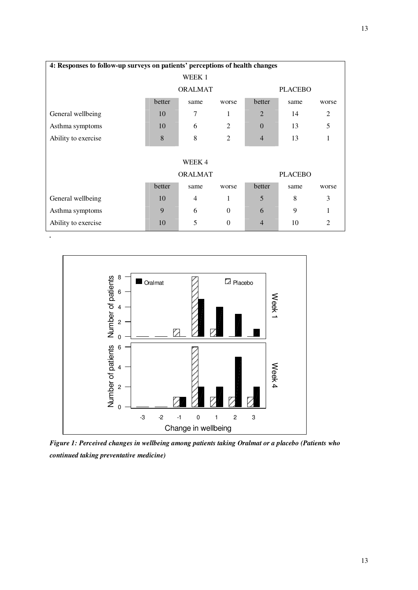| 4: Responses to follow-up surveys on patients' perceptions of health changes |        |                |                |                |      |                |  |  |  |  |  |  |  |
|------------------------------------------------------------------------------|--------|----------------|----------------|----------------|------|----------------|--|--|--|--|--|--|--|
| WEEK 1                                                                       |        |                |                |                |      |                |  |  |  |  |  |  |  |
|                                                                              |        | <b>ORALMAT</b> |                | <b>PLACEBO</b> |      |                |  |  |  |  |  |  |  |
|                                                                              | better | same           | worse          | better         | same | worse          |  |  |  |  |  |  |  |
| General wellbeing                                                            | 10     | 7              | 1              | $\overline{2}$ | 14   | 2              |  |  |  |  |  |  |  |
| Asthma symptoms                                                              | 10     | 6              | 2              | $\Omega$       | 13   | 5              |  |  |  |  |  |  |  |
| Ability to exercise                                                          | 8      | 8              | $\overline{2}$ | $\overline{4}$ | 13   | 1              |  |  |  |  |  |  |  |
|                                                                              |        |                |                |                |      |                |  |  |  |  |  |  |  |
| WEEK4                                                                        |        |                |                |                |      |                |  |  |  |  |  |  |  |
|                                                                              |        | <b>ORALMAT</b> |                | <b>PLACEBO</b> |      |                |  |  |  |  |  |  |  |
|                                                                              | better | same           | worse          | better         | same | worse          |  |  |  |  |  |  |  |
| General wellbeing                                                            | 10     | $\overline{4}$ | 1              | 5              | 8    | 3              |  |  |  |  |  |  |  |
| Asthma symptoms                                                              | 9      | 6              | $\Omega$       | 6              | 9    | 1              |  |  |  |  |  |  |  |
| Ability to exercise                                                          | 10     | 5              | $\mathbf{0}$   | $\overline{4}$ | 10   | $\overline{2}$ |  |  |  |  |  |  |  |



*.* 

*Figure 1: Perceived changes in wellbeing among patients taking Oralmat or a placebo (Patients who continued taking preventative medicine)*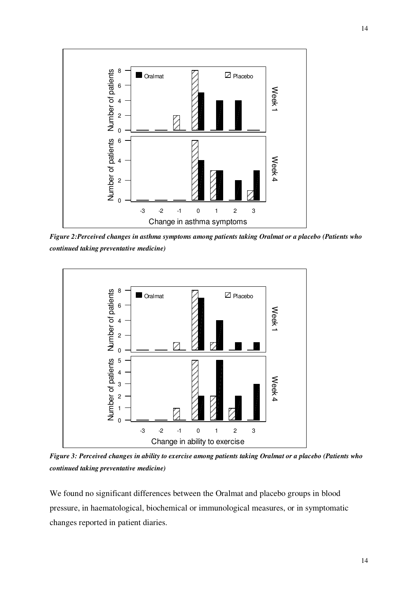

*Figure 2:Perceived changes in asthma symptoms among patients taking Oralmat or a placebo (Patients who continued taking preventative medicine)* 



Figure 3: Perceived changes in ability to exercise among patients taking Oralmat or a placebo (Patients who *continued taking preventative medicine)* 

We found no significant differences between the Oralmat and placebo groups in blood pressure, in haematological, biochemical or immunological measures, or in symptomatic changes reported in patient diaries.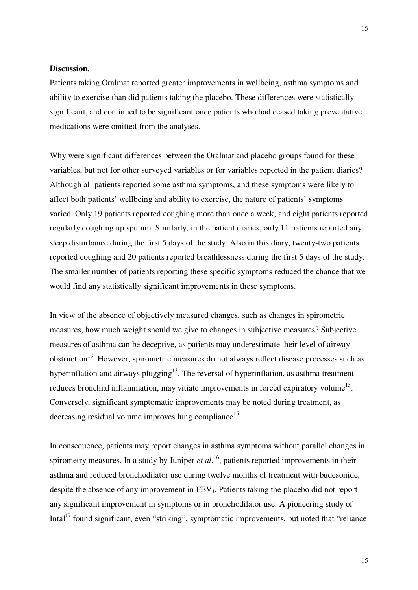#### **Discussion.**

Patients taking Oralmat reported greater improvements in wellbeing, asthma symptoms and ability to exercise than did patients taking the placebo. These differences were statistically significant, and continued to be significant once patients who had ceased taking preventative medications were omitted from the analyses.

Why were significant differences between the Oralmat and placebo groups found for these variables, but not for other surveyed variables or for variables reported in the patient diaries? Although all patients reported some asthma symptoms, and these symptoms were likely to affect both patients' wellbeing and ability to exercise, the nature of patients' symptoms varied. Only 19 patients reported coughing more than once a week, and eight patients reported regularly coughing up sputum. Similarly, in the patient diaries, only 11 patients reported any sleep disturbance during the first 5 days of the study. Also in this diary, twenty-two patients reported coughing and 20 patients reported breathlessness during the first 5 days of the study. The smaller number of patients reporting these specific symptoms reduced the chance that we would find any statistically significant improvements in these symptoms.

In view of the absence of objectively measured changes, such as changes in spirometric measures, how much weight should we give to changes in subjective measures? Subjective measures of asthma can be deceptive, as patients may underestimate their level of airway obstruction<sup>13</sup>. However, spirometric measures do not always reflect disease processes such as hyperinflation and airways plugging<sup>13</sup>. The reversal of hyperinflation, as asthma treatment reduces bronchial inflammation, may vitiate improvements in forced expiratory volume<sup>15</sup>. Conversely, significant symptomatic improvements may be noted during treatment, as decreasing residual volume improves lung compliance<sup>15</sup>.

In consequence, patients may report changes in asthma symptoms without parallel changes in spirometry measures. In a study by Juniper *et al*. 16 , patients reported improvements in their asthma and reduced bronchodilator use during twelve months of treatment with budesonide, despite the absence of any improvement in  $FEV<sub>1</sub>$ . Patients taking the placebo did not report any significant improvement in symptoms or in bronchodilator use. A pioneering study of Intal<sup>17</sup> found significant, even "striking", symptomatic improvements, but noted that "reliance"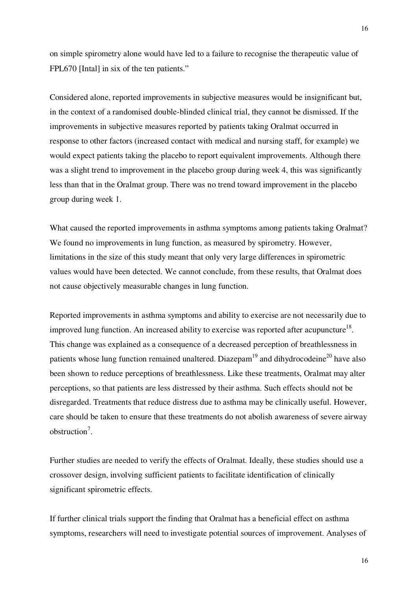on simple spirometry alone would have led to a failure to recognise the therapeutic value of FPL670 [Intal] in six of the ten patients."

Considered alone, reported improvements in subjective measures would be insignificant but, in the context of a randomised double-blinded clinical trial, they cannot be dismissed. If the improvements in subjective measures reported by patients taking Oralmat occurred in response to other factors (increased contact with medical and nursing staff, for example) we would expect patients taking the placebo to report equivalent improvements. Although there was a slight trend to improvement in the placebo group during week 4, this was significantly less than that in the Oralmat group. There was no trend toward improvement in the placebo group during week 1.

What caused the reported improvements in asthma symptoms among patients taking Oralmat? We found no improvements in lung function, as measured by spirometry. However, limitations in the size of this study meant that only very large differences in spirometric values would have been detected. We cannot conclude, from these results, that Oralmat does not cause objectively measurable changes in lung function.

Reported improvements in asthma symptoms and ability to exercise are not necessarily due to improved lung function. An increased ability to exercise was reported after acupuncture<sup>18</sup>. This change was explained as a consequence of a decreased perception of breathlessness in patients whose lung function remained unaltered. Diazepam<sup>19</sup> and dihydrocodeine<sup>20</sup> have also been shown to reduce perceptions of breathlessness. Like these treatments, Oralmat may alter perceptions, so that patients are less distressed by their asthma. Such effects should not be disregarded. Treatments that reduce distress due to asthma may be clinically useful. However, care should be taken to ensure that these treatments do not abolish awareness of severe airway obstruction 7 .

Further studies are needed to verify the effects of Oralmat. Ideally, these studies should use a crossover design, involving sufficient patients to facilitate identification of clinically significant spirometric effects.

If further clinical trials support the finding that Oralmat has a beneficial effect on asthma symptoms, researchers will need to investigate potential sources of improvement. Analyses of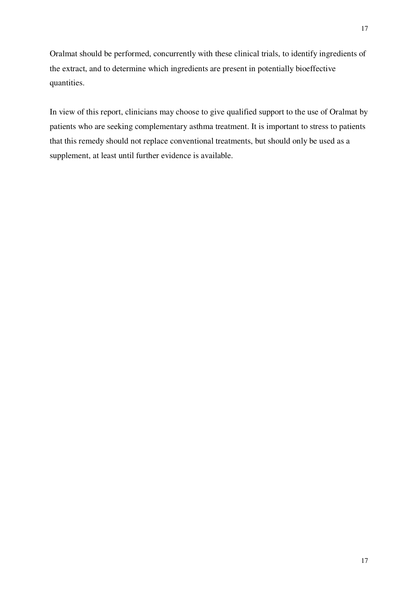Oralmat should be performed, concurrently with these clinical trials, to identify ingredients of the extract, and to determine which ingredients are present in potentially bioeffective quantities.

In view of this report, clinicians may choose to give qualified support to the use of Oralmat by patients who are seeking complementary asthma treatment. It is important to stress to patients that this remedy should not replace conventional treatments, but should only be used as a supplement, at least until further evidence is available.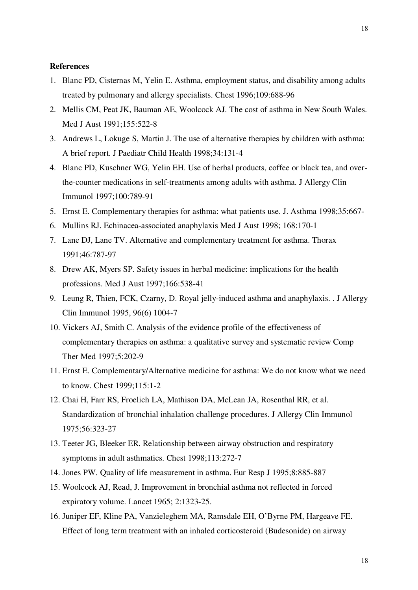#### **References**

- 1. Blanc PD, Cisternas M, Yelin E. Asthma, employment status, and disability among adults treated by pulmonary and allergy specialists. Chest 1996;109:688-96
- 2. Mellis CM, Peat JK, Bauman AE, Woolcock AJ. The cost of asthma in New South Wales. Med J Aust 1991;155:522-8
- 3. Andrews L, Lokuge S, Martin J. The use of alternative therapies by children with asthma: A brief report. J Paediatr Child Health 1998;34:131-4
- 4. Blanc PD, Kuschner WG, Yelin EH. Use of herbal products, coffee or black tea, and overthe-counter medications in self-treatments among adults with asthma. J Allergy Clin Immunol 1997;100:789-91
- 5. Ernst E. Complementary therapies for asthma: what patients use. J. Asthma 1998;35:667-
- 6. Mullins RJ. Echinacea-associated anaphylaxis Med J Aust 1998; 168:170-1
- 7. Lane DJ, Lane TV. Alternative and complementary treatment for asthma. Thorax 1991;46:787-97
- 8. Drew AK, Myers SP. Safety issues in herbal medicine: implications for the health professions. Med J Aust 1997;166:538-41
- 9. Leung R, Thien, FCK, Czarny, D. Royal jelly-induced asthma and anaphylaxis. . J Allergy Clin Immunol 1995, 96(6) 1004-7
- 10. Vickers AJ, Smith C. Analysis of the evidence profile of the effectiveness of complementary therapies on asthma: a qualitative survey and systematic review Comp Ther Med 1997;5:202-9
- 11. Ernst E. Complementary/Alternative medicine for asthma: We do not know what we need to know. Chest 1999;115:1-2
- 12. Chai H, Farr RS, Froelich LA, Mathison DA, McLean JA, Rosenthal RR, et al. Standardization of bronchial inhalation challenge procedures. J Allergy Clin Immunol 1975;56:323-27
- 13. Teeter JG, Bleeker ER. Relationship between airway obstruction and respiratory symptoms in adult asthmatics. Chest 1998;113:272-7
- 14. Jones PW. Quality of life measurement in asthma. Eur Resp J 1995;8:885-887
- 15. Woolcock AJ, Read, J. Improvement in bronchial asthma not reflected in forced expiratory volume. Lancet 1965; 2:1323-25.
- 16. Juniper EF, Kline PA, Vanzieleghem MA, Ramsdale EH, O'Byrne PM, Hargeave FE. Effect of long term treatment with an inhaled corticosteroid (Budesonide) on airway